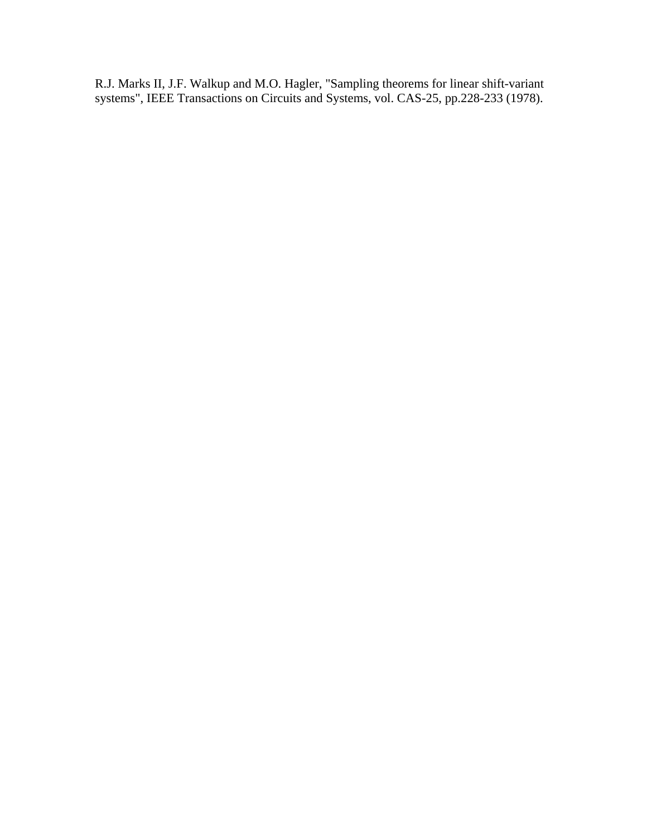R.J. Marks II, J.F. Walkup and M.O. Hagler, "Sampling theorems for linear shift-variant systems", IEEE Transactions on Circuits and Systems, vol. CAS-25, pp.228-233 (1978).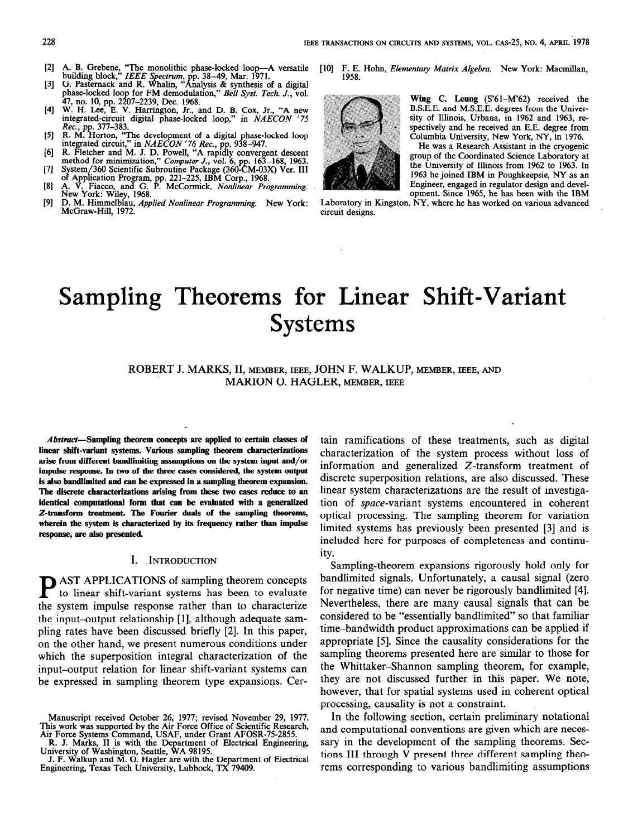- 121 A. B. Grebene, "The monolithic phase-locked loop—A versatile building block," *IEEE Spectrum*, pp. 38–49, Mar. 1971.
- 131 G. Pasternack and R. Whalin, "Analysis & synthesis of a digital phase-locked loop for FM demodulation," *Bell Syst. Tech. J.*, vol.
- 141 47, no. 10, pp. 2207-2239, Dec. 1968. W. H. Lee, E. V. Harrington, Jr., and D. B. Cox, Jr., "A new integrated-circuit digital phase-locked loop," in NAECON '75
- 151 Rec., pp. 377–383.<br>R. M. Horton, "The development of a digital phase-locked loop<br>integrated circuit," in NAECON '76 Rec., pp. 938–947.<br>R. Fletcher and M. J. D. Powell, "A rapidly convergent descent
- [6] minimization," Computer J., vol. 6, pp. 163-168, 1963.
- $\left( 7\right)$ method for<br>System/360<br>of Applicati
- 181 System/360 Scientific Subroutine Package (360-CM-03X) Ver. III<br>of Application Program, pp. 221–225, IBM Corp., 1968.<br>A. V. Fiacco, and G. P. McCormick, *Nonlinear Programming*.<br>New York: Wiley, 1968.<br>D. M. Himmelblau, *App*
- [91 McGraw-Hill, 1972.

[10] F. E. Hohn, Elementary Matrix Algebra. New York: Macmillan, 1958



Wing C. Leung (S'61-M'62) received the B.S.E.E. and M.S.E.E. degrees from the University of Illinois, Urbana, in 1962 and 1963, respectively and he received an E.E. degree from Columbia University, New York, NY, in 1976.

He was a Research Assistant in the cryogenic group of the Coordinated Science Laboratory at the University of Illinois from 1962 to 1963. In 1963 he joined IBM in Poughkeepsie, NY as an Engineer, engaged in regulator design and development. Since 1965, he has been with the IBM

Laboratory in Kingston, NY, where he has worked on various advanced circuit designs.

# Sampling Theorems for Linear Shift-Variant Systems

# ROBERT J. MARKS, II, MEMBER, IEEE, JOHN F. WALKUP, MEMBER, IEEE, AND MARION 0. HAGLER, MEMBER, IEEE

Abstract-Sampling theorem concepts are applied to certain classes of linear shift-variant systems. Various sampling theorem characterizations arise from different bandlimiting assumptions on the system input and/or impulse response. In two of the three cases considered, the system output is also bandlimited and can be expressed in a sampling theorem expansion. The discrete characterizations arising from these two cases reduce to an identical computational form that can be evaluated with a generalized Z-transform treatment. The Fourier duals of the sampling theorems, wherein the system is characterized by its frequency rather than impulse response, are also presented.

# I. INTRODUCTION

AST APPLICATIONS of sampling theorem concepts to linear shift-variant systems has been to evaluate the system impulse response rather than to characterize the input-output relationship [I], although adequate sampling rates have been discussed briefly [2]. In this paper, on the other hand, we present numerous conditions under which the superposition integral characterization of the input-output relation for linear shift-variant systems can be expressed in sampling theorem type expansions. Cer-

R. J. Marks, II is with the Department of Electrical Engineering, University of Washington, Seattle, WA 98195. J. F. Walkup and M. 0. Hagler are with the Department of Electrical

tain ramifications of these treatments, such as digital characterization of the system process without loss of information and generalized Z-transform treatment of discrete superposition relations, are also discussed. These linear system characterizations are the result of investigation of space-variant systems encountered in coherent optical processing. The sampling theorem for variation limited systems has previously been presented [3] and is included here for purposes of completeness and continuity.

Sampling-theorem expansions rigorously hold only for bandlimited signals. Unfortunately, a causal signal (zero for negative time) can never be rigorously bandlimited [4]. Nevertheless, there are many causal signals that can be considered to be "essentially bandlimited" so that familiar time-bandwidth product approximations can be applied if appropriate [5]. Since the causality considerations for the sampling theorems presented here are similar to those for the Whittaker-Shannon sampling theorem, for example, they are not discussed further in this paper. We note, however, that for spatial systems used in coherent optical processing, causality is not a constraint.

In the following section, certain preliminary notational and computational conventions are given which are necessary in the development of the sampling theorems. Sections III through V present three different sampling theorems corresponding to various bandlimiting assumptions

Manuscript received October 26, 1977; revised November 29, 1977. This work was supported by the Air Force Office of Scientific Research, Air Force Systems Command, USAF, under Grant AFOSR-75-2855.

Engineering, Texas Tech University, Lubbock, TX 79409.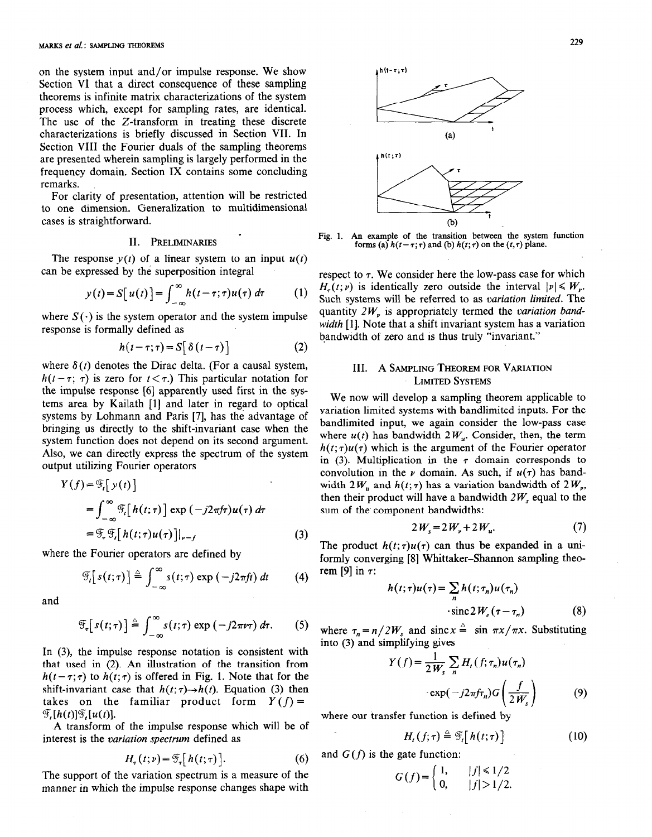on the system input and/or impulse response. We show Section VI that a direct consequence of these sampling theorems is infinite matrix characterizations of the system process which, except for sampling rates, are identical. The use of the Z-transform in treating these discrete characterizations is briefly discussed in Section VII. In Section VIII the Fourier duals of the sampling theorems are presented wherein sampling is largely performed in the frequency domain. Section IX contains some concluding remarks.

For clarity of presentation, attention will be restricted to one dimension.. Generalization to multidimensional cases is straightforward.

# II. PRELIMINARIES

The response  $y(t)$  of a linear system to an input  $u(t)$ can be expressed by the superposition integral

$$
y(t) = S[u(t)] = \int_{-\infty}^{\infty} h(t - \tau; \tau) u(\tau) d\tau \qquad (1)
$$

where  $S(\cdot)$  is the system operator and the system impulse response is formally defined as

$$
h(t-\tau;\tau) = S[\delta(t-\tau)] \qquad (2)
$$

where  $\delta(t)$  denotes the Dirac delta. (For a causal system,  $h(t-\tau; \tau)$  is zero for  $t < \tau$ .) This particular notation for the impulse response [6] apparently used first in the systems area by Kailath [l] and later in regard to optical systems by Lohmann and Paris [7], has the advantage of bringing us directly to the shift-invariant case when the system function does not depend on its second argument. Also, we can directly express the spectrum of the system output utilizing Fourier operators

$$
Y(f) = \mathcal{F}_t[y(t)]
$$
  
= 
$$
\int_{-\infty}^{\infty} \mathcal{F}_t[h(t;\tau)] \exp(-j2\pi f\tau)u(\tau) d\tau
$$
  
= 
$$
\mathcal{F}_\tau \mathcal{F}_t[h(t;\tau)u(\tau)]|_{\nu-f}
$$
 (3)

where the Fourier operators are defined by

$$
\mathscr{F}_t[s(t;\tau)] \triangleq \int_{-\infty}^{\infty} s(t;\tau) \exp(-j2\pi ft) dt \qquad (4)
$$

and

$$
\mathscr{F}_{\tau}\big[s(t;\tau)\big]\triangleq\int_{-\infty}^{\infty}s(t;\tau)\exp\left(-j2\pi\nu\tau\right)d\tau.\qquad(5)
$$

In (3), the impulse response notation is consistent with that used in (2). An illustration of the transition from  $h(t-\tau;\tau)$  to  $h(t;\tau)$  is offered in Fig. 1. Note that for the shift-invariant case that  $h(t; \tau) \rightarrow h(t)$ . Equation (3) then takes on the familiar product form  $Y(f) =$  $\mathcal{F}[\mathfrak{h}(t)]\mathcal{F}[\mathfrak{u}(t)].$ 

A transform of the impulse response which will be of interest is the variation spectrum defined as

$$
H_{\tau}(t; \nu) = \mathcal{F}_{\tau}[h(t; \tau)]. \tag{6}
$$

The support of the variation spectrum is a measure of the manner in which the impulse response changes shape with



. Fig. 1. An example of the transition between the system function forms (a)  $h(t-\tau;\tau)$  and (b)  $h(t;\tau)$  on the  $(t,\tau)$  plane.

respect to  $\tau$ . We consider here the low-pass case for which  $H_r(t; v)$  is identically zero outside the interval  $|v| \leq W_{v}$ . Such systems will be referred to as variation limited. The quantity  $2W<sub>v</sub>$  is appropriately termed the variation bandwidth [1]. Note that a shift invariant system has a variation bandwidth of zero and is thus truly "invariant."

# III. A SAMPLING THEOREM FOR VARIATION LIMITED SYSTEMS

We now will develop a sampling theorem applicable to variation limited systems with bandlimited inputs. For the bandlimited input, we again consider the low-pass case where  $u(t)$  has bandwidth  $2W_{u}$ . Consider, then, the term  $h(t;\tau)u(\tau)$  which is the argument of the Fourier operator in (3). Multiplication in the  $\tau$  domain corresponds to convolution in the  $\nu$  domain. As such, if  $u(\tau)$  has bandwidth  $2W_u$  and  $h(t; \tau)$  has a variation bandwidth of  $2W_u$ , then their product will have a bandwidth  $2W$ , equal to the sum of the component bandwidths:

$$
2W_s = 2W_v + 2W_u.
$$
 (7)

The product  $h(t; \tau)u(\tau)$  can thus be expanded in a uniformly converging [8] Whittaker-Shannon sampling theorem [9] in  $\tau$ :

$$
h(t;\tau)u(\tau) = \sum_{n} h(t;\tau_n)u(\tau_n)
$$
  
 
$$
\cdot \operatorname{sinc} 2W_s(\tau - \tau_n)
$$
 (8)

where  $\tau_n = n/2W$ , and sinc  $x = \sin \pi x / \pi x$ . Substituting into (3) and simplifying gives

$$
(f) = \frac{1}{2W_s} \sum_n H_t(f; \tau_n) u(\tau_n)
$$

$$
\cdot \exp(-j2\pi f \tau_n) G\left(\frac{f}{2W_s}\right) \tag{9}
$$

where our transfer function is defined by

$$
H_t(f;\tau) \triangleq \mathcal{F}_t[h(t;\tau)] \tag{10}
$$

and  $G(f)$  is the gate function:

Y

$$
G(f) = \begin{cases} 1, & |f| \le 1/2 \\ 0, & |f| > 1/2. \end{cases}
$$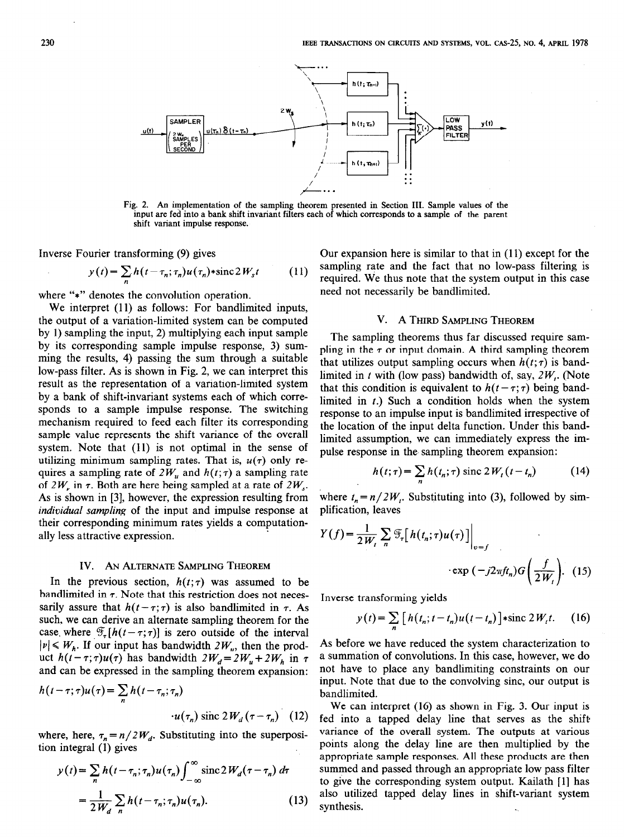

Fig. 2. An implementation of the sampling theorem presented in Section III. Sample values of the input are fed into a bank shift invariant filters each of which corresponds to a sample of the parent shift variant impulse response.

Inverse Fourier transforming (9) gives

$$
y(t) = \sum_{n} h(t - \tau_n; \tau_n) u(\tau_n) * \operatorname{sinc} 2W_s t \qquad (11)
$$

where "\*" denotes the convolution operation.

We interpret (11) as follows: For bandlimited inputs, the output of a variation-limited system can be computed by 1) sampling the input, 2) multiplying each input sample by its corresponding sample impulse response, 3) summing the results, 4) passing the sum through a suitable low-pass filter. As is shown in Fig. 2, we can interpret this result as the representation of a variation-limited system by a bank of shift-invariant systems each of which corresponds to a sample impulse response. The switching mechanism required to feed each filter its corresponding sample value represents the shift variance of the overall system. Note that (11) is not optimal in the sense of utilizing minimum sampling rates. That is,  $u(\tau)$  only requires a sampling rate of  $2W_u$  and  $h(t; \tau)$  a sampling rate of  $2W_{\nu}$  in  $\tau$ . Both are here being sampled at a rate of  $2W_{\nu}$ . As is shown in [3], however, the expression resulting from individual sampling of the input and impulse response at their corresponding minimum rates yields a computationally less attractive expression.

# IV. AN ALTERNATE SAMPLING THEOREM

In the previous section,  $h(t;\tau)$  was assumed to be bandlimited in  $\tau$ . Note that this restriction does not necessarily assure that  $h(t - \tau; \tau)$  is also bandlimited in  $\tau$ . As such, we can derive an alternate sampling theorem for the case. where  $\mathcal{F}_{\tau}[h(t-\tau;\tau)]$  is zero outside of the interval  $|v| \leq W_h$ . If our input has bandwidth  $2W_u$ , then the product  $h(t-\tau;\tau)u(\tau)$  has bandwidth  $2W_d = 2W_u + 2W_h$  in  $\tau$ and can be expressed in the sampling theorem expansion:

$$
h(t-\tau;\tau)u(\tau) = \sum_{n} h(t-\tau_n;\tau_n)
$$

$$
\cdot u(\tau_n) \text{ sinc } 2W_d(\tau-\tau_n) \quad (12)
$$

where, here,  $\tau_n = n/2W_d$ . Substituting into the superposition integral (1) gives

$$
y(t) = \sum_{n} h(t - \tau_n; \tau_n) u(\tau_n) \int_{-\infty}^{\infty} \operatorname{sinc} 2W_d(\tau - \tau_n) d\tau
$$
  
= 
$$
\frac{1}{2W_d} \sum_{n} h(t - \tau_n; \tau_n) u(\tau_n).
$$
 (13)

Our expansion here is similar to that in (11) except for the sampling rate and the fact that no low-pass filtering is required. We thus note that the system output in this case need not necessarily be bandlimited.

# V. A THIRD SAMPLING THEOREM

The sampling theorems thus far discussed require sampling in the  $\tau$  or input domain. A third sampling theorem that utilizes output sampling occurs when  $h(t;\tau)$  is bandlimited in t with (low pass) bandwidth of, say,  $2W$ . (Note that this condition is equivalent to  $h(t - \tau; \tau)$  being bandlimited in  $t$ .) Such a condition holds when the system response to an impulse input is bandlimited irrespective of the location of the input delta function. Under this bandlimited assumption, we can immediately express the impulse response in the. sampling theorem expansion:

$$
h(t;\tau) = \sum_{n} h(t_n;\tau) \operatorname{sinc} 2W_t(t-t_n) \tag{14}
$$

where  $t_n = n/2W_t$ . Substituting into (3), followed by simplification, leaves

$$
Y(f) = \frac{1}{2W_t} \sum_{n} \mathcal{F}_\tau \left[ h(t_n; \tau) u(\tau) \right] \Big|_{v=f}
$$
  
 
$$
\exp(-j2\pi ft_n) G\left(\frac{f}{2W_t}\right). \quad (15)
$$

Inverse transforming yields

$$
y(t) = \sum_{n} \left[ h(t_n; t - t_n) u(t - t_n) \right] * \text{sinc } 2W_t t. \tag{16}
$$

As before we have reduced the system characterization to a summation of convolutions. In this case, however, we do not have to place any bandlimiting constraints on our input. Note that due to the convolving sine, our output is bandlimited.

We can interpret (16) as shown in Fig. 3. Our input is fed into a tapped delay line that serves as the shiftvariance of the overall system. The outputs at various points along the delay line are then multiplied by the appropriate sample responses. All these products are then summed and passed through an appropriate low pass filter to give the corresponding system output. Kailath [l] has also utilized tapped delay lines in shift-variant system synthesis.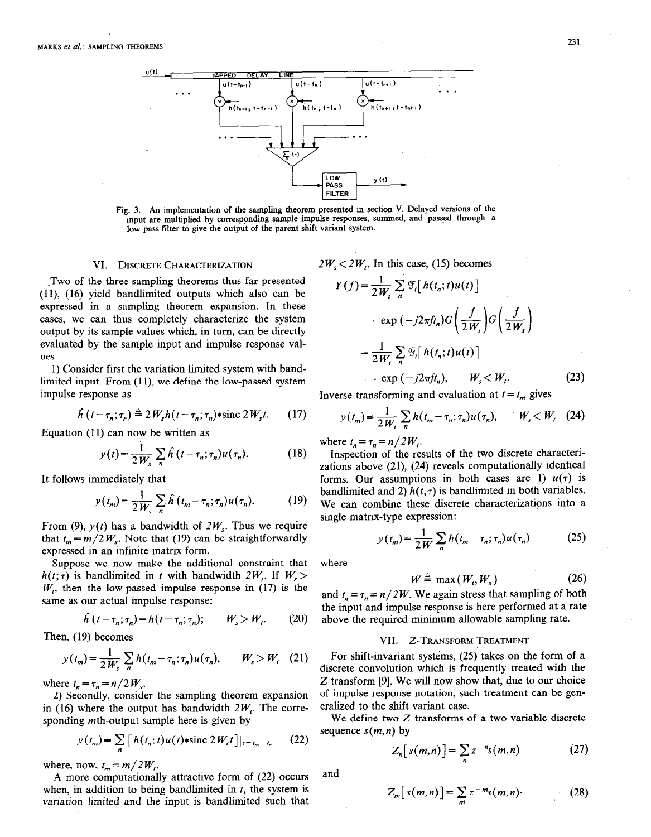

Fig. 3. An implementation of the sampling theorem presented in section V. Delayed versions of the input are multiplied by corresponding sample impulse responses, summed, and passed through a low pass filter to give the output of the parent shift variant system.

Two of the three sampling theorems thus far presented (11), (16) yield bandlimited outputs which also can be expressed in a sampling theorem expansion. In these cases, we can thus completely characterize the system output by its sample values which, in turn, can be directly evaluated by the sample input and impulse response values.

1) Consider first the variation limited system with bandlimited input. From  $(11)$ , we define the low-passed system impulse response as Inverse transforming and evaluation at  $t = t_m$  gives

$$
\hat{h}(t-\tau_n;\tau_n) \triangleq 2W_s h(t-\tau_n;\tau_n) * \text{sinc } 2W_s t. \qquad (17)
$$

Equation (11) can now be written as

$$
y(t) = \frac{1}{2W_s} \sum_n \hat{h}(t - \tau_n; \tau_n) u(\tau_n).
$$
 (18)

It follows immediately that

$$
y(t_m) = \frac{1}{2W_s} \sum_n \hat{h}(t_m - \tau_n; \tau_n) u(\tau_n). \tag{19}
$$

From (9),  $y(t)$  has a bandwidth of  $2W_s$ . Thus we require that  $t_m = m/2 W_s$ . Note that (19) can be straightforwardly expressed in an infinite matrix form.

Suppose we now make the additional constraint that  $h(t; \tau)$  is bandlimited in t with bandwidth  $2W_t$ . If  $W_s$  $W<sub>1</sub>$ , then the low-passed impulse response in (17) is the same as our actual impulse response:

$$
\hat{h}\left(t-\tau_n;\tau_n\right) = h\left(t-\tau_n;\tau_n\right); \qquad W_s > W_t. \tag{20}
$$

Then, (19) becomes

$$
y(t_m) = \frac{1}{2W_s} \sum_n h(t_m - \tau_n; \tau_n) u(\tau_n), \qquad W_s > W_t \quad (21)
$$

where  $t_n = \tau_n = n/2 W_s$ .

2) Secondly, consider the sampling theorem expansion in (16) where the output has bandwidth  $2W$ . The corresponding mth-output sample here is given by

$$
y(t_m) = \sum_{n} \left[ h(t_n; t) u(t) * \text{sinc } 2W_t t \right] |_{t = t_m - t_n}
$$
 (22)

where, now,  $t_m = m/2W_t$ .

A more computationally attractive form of (22) occurs when, in addition to being bandlimited in  $t$ , the system is variation limited and the input is bandlimited such that

VI. DISCRETE CHARACTERIZATION  $2W_s < 2W_t$ . In this case, (15) becomes

$$
Y(f) = \frac{1}{2W_t} \sum_{n} \mathcal{F}_t \left[ h(t_n; t) u(t) \right]
$$
  

$$
\cdot \exp(-j2\pi ft_n) G\left(\frac{f}{2W_t}\right) G\left(\frac{f}{2W_s}\right)
$$
  

$$
= \frac{1}{2W_t} \sum_{n} \mathcal{F}_t \left[ h(t_n; t) u(t) \right]
$$
  

$$
\cdot \exp(-j2\pi ft_n), \qquad W_s < W_t.
$$
 (23)

$$
y(t_m) = \frac{1}{2W_t} \sum_n h(t_m - \tau_n; \tau_n) u(\tau_n), \qquad W_s < W_t \quad (24)
$$

where  $t_n=\tau_n=n/2W_i$ .

Inspection of the results of the two discrete characterizations above (21), (24) reveals computationally identical forms. Our assumptions in both cases are 1)  $u(\tau)$  is bandlimited and 2)  $h(t,\tau)$  is bandlimited in both variables. We can combine these discrete characterizations into a single matrix-type expression:

$$
y(t_m) = \frac{1}{2W} \sum_n h(t_m - \tau_n; \tau_n) u(\tau_n)
$$
 (25)

where

$$
W \stackrel{\scriptscriptstyle \triangle}{=} \max(W_r, W_s) \tag{26}
$$

and  $t_n = \tau_n = n/2W$ . We again stress that sampling of both the input and impulse response is here performed at a rate above the required minimum allowable sampling rate.

## VII. Z-TRANSFORM TREATMENT

For shift-invariant systems, (25) takes on the form of a discrete convolution which is frequently treated with the Z transform [9]. We will now show that, due to our choice of impulse response notation, such treatment can be generalized to the shift variant case.

We define two Z transforms of a two variable discrete sequence  $s(m, n)$  by

$$
Z_n[s(m,n)] = \sum_{n} z^{-n} s(m,n) \qquad (27)
$$

and

$$
Z_m[s(m,n)] = \sum_m z^{-m}s(m,n)
$$
 (28)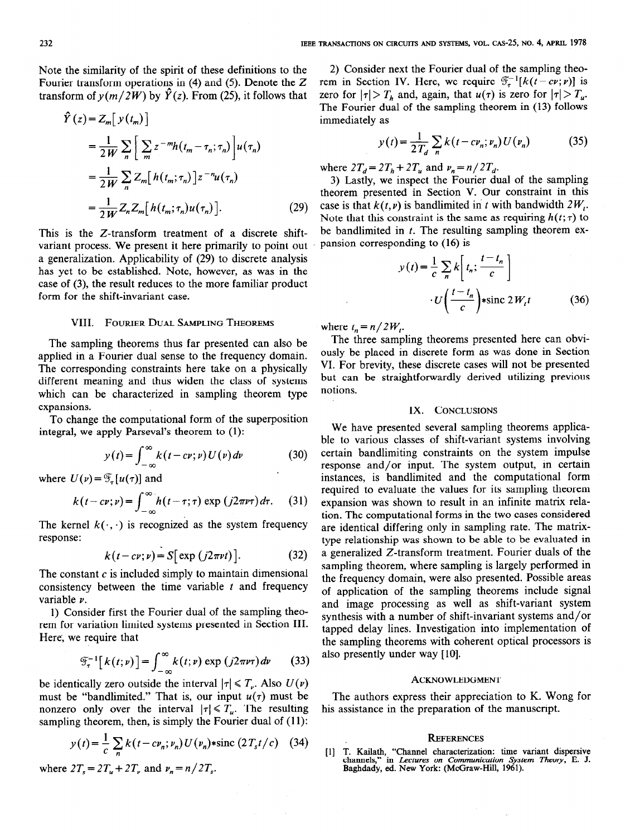Note the similarity of the spirit of these definitions to the Fourier transform operations in (4) and (5). Denote the  $Z$ transform of  $y(m/2W)$  by  $\hat{Y}(z)$ . From (25), it follows that

$$
\hat{Y}(z) = Z_m \left[ y(t_m) \right]
$$
\n
$$
= \frac{1}{2W} \sum_n \left[ \sum_m z^{-m} h(t_m - \tau_n; \tau_n) \right] u(\tau_n)
$$
\n
$$
= \frac{1}{2W} \sum_n Z_m \left[ h(t_m; \tau_n) \right] z^{-n} u(\tau_n)
$$
\n
$$
= \frac{1}{2W} Z_n Z_m \left[ h(t_m; \tau_n) u(\tau_n) \right]. \tag{29}
$$

This is the Z-transform treatment of a discrete shiftvariant process. We present it here primarily to point out a generalization. Applicability of (29) to discrete analysis has yet to be established. Note, however, as was in the case of (3), the result reduces to the more familiar product form for the shift-invariant case.

## VIII. FOURIER DUAL SAMPLING THEOREMS

The sampling theorems thus far presented can also be applied in a Fourier dual sense to the frequency domain. The corresponding constraints here take on a physically different meaning and thus widen the class of systems which can be characterized in sampling theorem type expansions.

To change the computational form of the superposition integral, we apply Parseval's theorem to (1):

$$
y(t) = \int_{-\infty}^{\infty} k(t - cv; v) U(v) dv \qquad (30)
$$

where  $U(\nu) = \mathscr{F}_{\tau}[\mu(\tau)]$  and

$$
k(t-cv; v) = \int_{-\infty}^{\infty} h(t-\tau; \tau) \exp (j2\pi v \tau) d\tau.
$$
 (31)

The kernel  $k(\cdot, \cdot)$  is recognized as the system frequency response:

$$
k(t-cv; v) = S[\exp(j2\pi vt)].
$$
 (32)

The constant  $c$  is included simply to maintain dimensional consistency between the time variable  $t$  and frequency variable v.

1) Consider first the Fourier dual of the sampling theorem for variation limited systems presented in Section III. Here; we require that

$$
\mathcal{F}_{\tau}^{-1}[k(t;\nu)]=\int_{-\infty}^{\infty}k(t;\nu)\exp(j2\pi\nu\tau)d\nu\qquad(33)
$$

be identically zero outside the interval  $|\tau| \le T_{\nu}$ . Also  $U(\nu)$ must be "bandlimited." That is, our input  $u(\tau)$  must be nonzero only over the interval  $|\tau| \le T_u$ . The resulting sampling theorem, then, is simply the Fourier dual of (11):

$$
y(t) = \frac{1}{c} \sum_{n} k(t - c v_n; v_n) U(v_n) * \text{sinc} (2T_s t/c) \quad (34)
$$

where  $2T_s = 2T_u + 2T_v$  and  $v_n = n/2T_s$ .

2) Consider next the Fourier dual of the sampling theorem in Section IV. Here, we require  $\mathcal{T}_{\tau}^{-1}[k(t-cv; v)]$  is zero for  $|\tau| > T_h$  and, again, that  $u(\tau)$  is zero for  $|\tau| > T_u$ . The Fourier dual of the sampling theorem in (13) follows immediately as

$$
y(t) = \frac{1}{2T_d} \sum_{n} k(t - c v_n; v_n) U(v_n)
$$
 (35)

where  $2T_d = 2T_h + 2T_u$  and  $\nu_n = n/2T_d$ .

3) Lastly, we inspect the Fourier dual of the sampling theorem presented in Section V. Our constraint in this case is that  $k(t, \nu)$  is bandlimited in t with bandwidth  $2W_t$ . Note that this constraint is the same as requiring  $h(t; \tau)$  to be bandlimited in  $t$ . The resulting sampling theorem expansion corresponding to (16) is

$$
y(t) = \frac{1}{c} \sum_{n} k \left[ t_n; \frac{t - t_n}{c} \right]
$$

$$
\cdot U \left( \frac{t - t_n}{c} \right) * \text{sinc } 2W_t t \tag{36}
$$

where  $t_n = n/2W_t$ .

The three sampling theorems presented here can obviously be placed in discrete form as was done in Section VI. For brevity, these discrete cases will not be presented but can be straightforwardly derived utilizing previous notions.

### IX. CONCLUSIONS

We have presented several sampling theorems applicable to various classes of shift-variant systems involving certain bandlimiting constraints on the system impulse response and/or input. The system output, in certain instances, is bandlimited and the computational form required to evaluate the values for its sampling theorem expansion was shown to result in an infinite matrix relation. The computational forms in the two cases considered are identical differing only in sampling rate. The matrixtype relationship was shown to be able to be evaluated in a generalized Z-transform treatment. Fourier duals of the sampling theorem, where sampling is largely performed in the frequency domain, were also presented. Possible areas of application of the sampling theorems include signal and image processing as well as shift-variant system synthesis with a number of shift-invariant systems and/or tapped delay lines. Investigation into implementation of the sampling theorems with coherent optical processors is also presently under way [10].

### **ACKNOWLEDGMENT**

The authors express their appreciation to K. Wong for his assistance in the preparation of the manuscript.

### **REFERENCES**

[l] T. Kailath, "Channel characterization: time variant dispersive channels," in *Lectures on Communication System Theory*, E. J.<br>Baghdady, ed. New York: (McGraw-Hill, 1961).